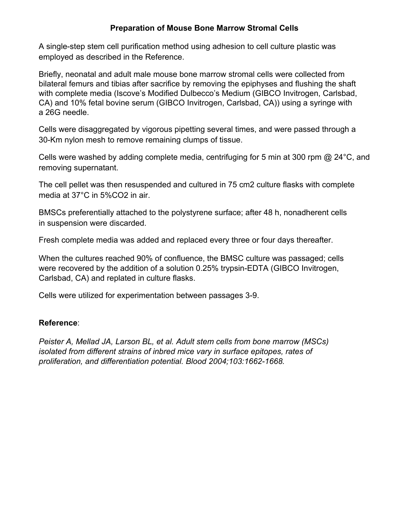# **Preparation of Mouse Bone Marrow Stromal Cells**

A single-step stem cell purification method using adhesion to cell culture plastic was employed as described in the Reference.

Briefly, neonatal and adult male mouse bone marrow stromal cells were collected from bilateral femurs and tibias after sacrifice by removing the epiphyses and flushing the shaft with complete media (Iscove's Modified Dulbecco's Medium (GIBCO Invitrogen, Carlsbad, CA) and 10% fetal bovine serum (GIBCO Invitrogen, Carlsbad, CA)) using a syringe with a 26G needle.

Cells were disaggregated by vigorous pipetting several times, and were passed through a 30-Km nylon mesh to remove remaining clumps of tissue.

Cells were washed by adding complete media, centrifuging for 5 min at 300 rpm  $@$  24 $^{\circ}$ C, and removing supernatant.

The cell pellet was then resuspended and cultured in 75 cm2 culture flasks with complete media at 37°C in 5%CO2 in air.

BMSCs preferentially attached to the polystyrene surface; after 48 h, nonadherent cells in suspension were discarded.

Fresh complete media was added and replaced every three or four days thereafter.

When the cultures reached 90% of confluence, the BMSC culture was passaged; cells were recovered by the addition of a solution 0.25% trypsin-EDTA (GIBCO Invitrogen, Carlsbad, CA) and replated in culture flasks.

Cells were utilized for experimentation between passages 3-9.

## **Reference**:

*Peister A, Mellad JA, Larson BL, et al. Adult stem cells from bone marrow (MSCs) isolated from different strains of inbred mice vary in surface epitopes, rates of proliferation, and differentiation potential. Blood 2004;103:1662-1668.*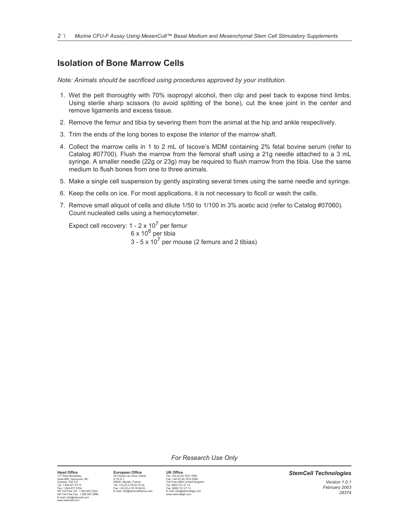# **Isolation of Bone Marrow Cells**

*Note: Animals should be sacrificed using procedures approved by your institution.* 

- 1. Wet the pelt thoroughly with 70% isopropyl alcohol, then clip and peel back to expose hind limbs. Using sterile sharp scissors (to avoid splitting of the bone), cut the knee joint in the center and remove ligaments and excess tissue.
- 2. Remove the femur and tibia by severing them from the animal at the hip and ankle respectively.
- 3. Trim the ends of the long bones to expose the interior of the marrow shaft.
- 4. Collect the marrow cells in 1 to 2 mL of Iscove's MDM containing 2% fetal bovine serum (refer to Catalog #07700). Flush the marrow from the femoral shaft using a 21g needle attached to a 3 mL syringe. A smaller needle (22g or 23g) may be required to flush marrow from the tibia. Use the same medium to flush bones from one to three animals.
- 5. Make a single cell suspension by gently aspirating several times using the same needle and syringe.
- 6. Keep the cells on ice. For most applications, it is not necessary to ficoll or wash the cells.
- 7. Remove small aliquot of cells and dilute 1/50 to 1/100 in 3% acetic acid (refer to Catalog #07060). Count nucleated cells using a hemocytometer.

Expect cell recovery:  $1 - 2 \times 10^7$  per femur  $6 \times 10^6$  per tibia  $3 - 5 \times 10^7$  per mouse (2 femurs and 2 tibias)

*For Research Use Only* 

777 West Broadway, Cassette Marco 2013, 2013<br>1999 - The Marco 2013 May 2018, 2018 1999 - Text +44.(0)<br>1999 - The Marco 2018 - Same Cassette Marco 2014 1798 - Text 1604, 2017<br>1991 - Text 1604, 2017 - Text 160, 2018, 2019 - NA Toll Free Fax: 1.800.567.2899 www.stemcellgb.com E-mail: info@stemcell.com www.stemcell.com

**Head Office European Office UK Office**<br>
T77 West Broadway, BC, 201 Chemin du Vieux Chemin du Vieux Chemin du Vieux Chemin du Vieux Chemin du Vieux Chemin du Vieux Chemin du Teix +44.(0)<br>
2.1.R.S.T. 3240, Mayin, France Tei

*StemCell Technologies*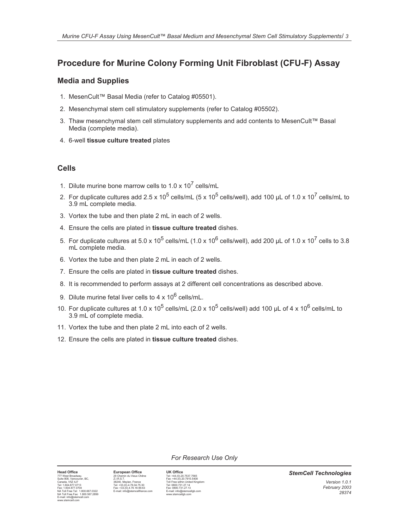# **Procedure for Murine Colony Forming Unit Fibroblast (CFU-F) Assay**

## **Media and Supplies**

- 1. MesenCult™ Basal Media (refer to Catalog #05501).
- 2. Mesenchymal stem cell stimulatory supplements (refer to Catalog #05502).
- 3. Thaw mesenchymal stem cell stimulatory supplements and add contents to MesenCult™ Basal Media (complete media).
- 4. 6-well **tissue culture treated** plates

## **Cells**

- 1. Dilute murine bone marrow cells to 1.0 x  $10^7$  cells/mL
- 2. For duplicate cultures add 2.5 x 10<sup>5</sup> cells/mL (5 x 10<sup>5</sup> cells/well), add 100 µL of 1.0 x 10<sup>7</sup> cells/mL to 3.9 mL complete media.
- 3. Vortex the tube and then plate 2 mL in each of 2 wells.
- 4. Ensure the cells are plated in **tissue culture treated** dishes.
- 5. For duplicate cultures at 5.0 x 10<sup>5</sup> cells/mL (1.0 x 10<sup>6</sup> cells/well), add 200 µL of 1.0 x 10<sup>7</sup> cells to 3.8 mL complete media.
- 6. Vortex the tube and then plate 2 mL in each of 2 wells.
- 7. Ensure the cells are plated in **tissue culture treated** dishes.
- 8. It is recommended to perform assays at 2 different cell concentrations as described above.
- 9. Dilute murine fetal liver cells to 4 x  $10^6$  cells/mL.
- 10. For duplicate cultures at 1.0 x 10<sup>5</sup> cells/mL (2.0 x 10<sup>5</sup> cells/well) add 100 µL of 4 x 10<sup>6</sup> cells/mL to 3.9 mL of complete media.
- 11. Vortex the tube and then plate 2 mL into each of 2 wells.
- 12. Ensure the cells are plated in **tissue culture treated** dishes.

*For Research Use Only* 

# $\begin{tabular}{l|c|c|c|c} \textbf{Hed O} \textbf{O} \textbf{ff} \textbf{G} \textbf{F} \textbf{G} \textbf{G} \textbf{F} \textbf{G} \textbf{G} \textbf{F} \textbf{G} \textbf{G} \textbf{F} \textbf{G} \textbf{G} \textbf{F} \textbf{G} \textbf{G} \textbf{F} \textbf{G} \textbf{F} \textbf{G} \textbf{G} \textbf{F} \textbf{G} \textbf{G} \textbf{F} \textbf{G} \textbf{F} \textbf{G} \textbf{F} \textbf{G} \textbf{$

#### *StemCell Technologies Version 1.0.1 February 2003 28374*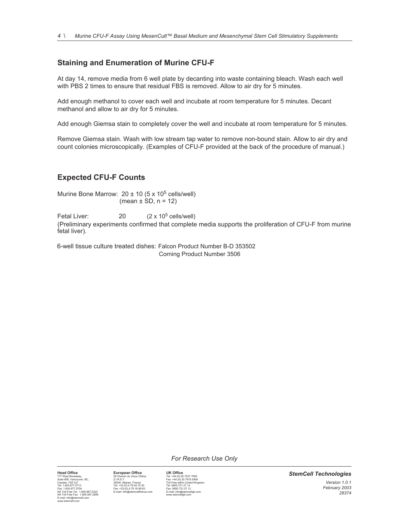### **Staining and Enumeration of Murine CFU-F**

At day 14, remove media from 6 well plate by decanting into waste containing bleach. Wash each well with PBS 2 times to ensure that residual FBS is removed. Allow to air dry for 5 minutes.

Add enough methanol to cover each well and incubate at room temperature for 5 minutes. Decant methanol and allow to air dry for 5 minutes.

Add enough Giemsa stain to completely cover the well and incubate at room temperature for 5 minutes.

Remove Giemsa stain. Wash with low stream tap water to remove non-bound stain. Allow to air dry and count colonies microscopically. (Examples of CFU-F provided at the back of the procedure of manual.)

### **Expected CFU-F Counts**

Murine Bone Marrow:  $20 \pm 10$  (5 x 10<sup>5</sup> cells/well) (mean  $\pm$  SD, n = 12)

Fetal Liver:  $20$   $(2 \times 10^5 \text{ cells/well})$ (Preliminary experiments confirmed that complete media supports the proliferation of CFU-F from murine fetal liver).

6-well tissue culture treated dishes: Falcon Product Number B-D 353502 Corning Product Number 3506

*For Research Use Only* 

**Head Office**<br>
T77 West Broadway, European Office UK Office<br>
Suite 808, Vancouver, BC,<br>
21 R.S.T.<br>
21 R.S.T.<br>
21 R.S.T.<br>
21 R.S.T.<br>
22 Maydan, France Tat +44 (0) 20.7915,5408<br>
21 R.S.T.<br>
22 Maydan, France Tat +604 877 0713 77 West Broadway, Capital Markov (Mexican Markov Chene Fax: +44.(0) 20.7637.7565408<br>Canada, VSZ 417<br>Tel: 1604.87.0713 38240. Meyian, France Tel: 1604.877.7548<br>Tel: 1604.877.0713 38240. Meyian, France Tel: 1604.877.0713<br>Te

*StemCell Technologies* 

*Version 1.0.1 February 2003 28374*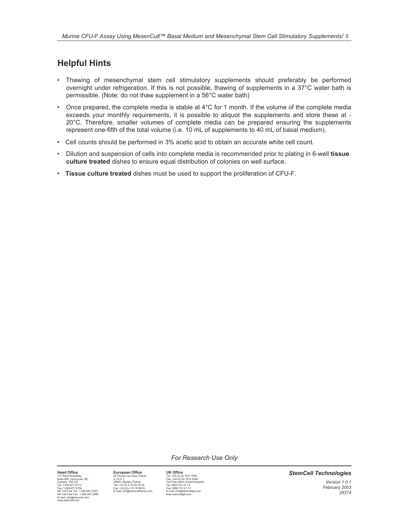# **Helpful Hints**

- Thawing of mesenchymal stem cell stimulatory supplements should preferably be performed overnight under refrigeration. If this is not possible, thawing of supplements in a 37°C water bath is permissible. (Note: do not thaw supplement in a 56°C water bath)
- Once prepared, the complete media is stable at 4°C for 1 month. If the volume of the complete media exceeds your monthly requirements, it is possible to aliquot the supplements and store these at - 20°C. Therefore, smaller volumes of complete media can be prepared ensuring the supplements represent one-fifth of the total volume (i.e. 10 mL of supplements to 40 mL of basal medium).
- Cell counts should be performed in 3% acetic acid to obtain an accurate white cell count.
- Dilution and suspension of cells into complete media is recommended prior to plating in 6-well **tissue culture treated** dishes to ensure equal distribution of colonies on well surface.
- **Tissue culture treated** dishes must be used to support the proliferation of CFU-F.

*For Research Use Only* 

 $\begin{tabular}{l|c|c|c|c} \textbf{Hed O} \textbf{D} \textbf{ff} \textbf{G} \textbf{F} \textbf{G} \textbf{F} \textbf{G} \textbf{F} \textbf{G} \textbf{F} \textbf{G} \textbf{F} \textbf{G} \textbf{F} \textbf{G} \textbf{F} \textbf{G} \textbf{F} \textbf{G} \textbf{F} \textbf{G} \textbf{F} \textbf{G} \textbf{F} \textbf{G} \textbf{F} \textbf{G} \textbf{F} \textbf{G} \textbf{F} \textbf{G} \textbf{F} \textbf{$ 

#### *StemCell Technologies*

*Version 1.0.1 February 2003 28374*